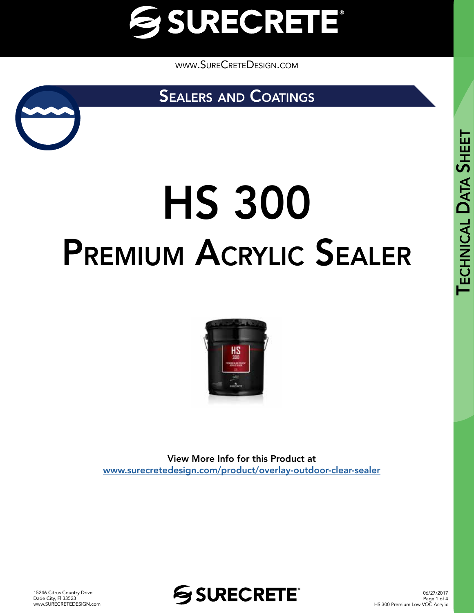

[www.SureCreteDesign.com](http://www.surecretedesign.com)

SEALERS AND COATINGS



# HS 300 Premium Acrylic Sealer



View More Info for this Product at [www.surecretedesign.com/product/overlay-outdoor-clear-sealer](https://www.surecretedesign.com/product/overlay-outdoor-clear-sealer/)

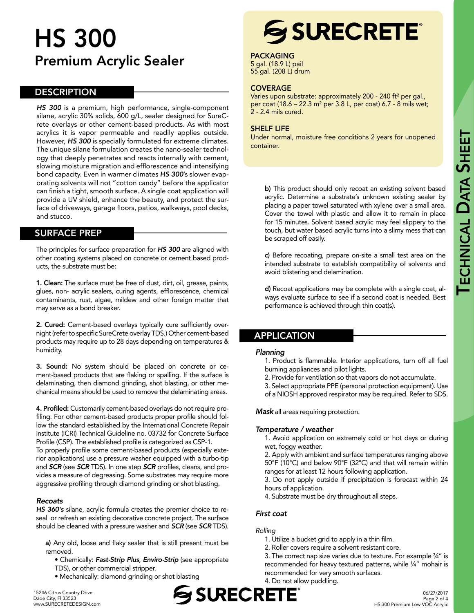# HS 300 Premium Acrylic Sealer

## **DESCRIPTION**

*HS 300* is a premium, high performance, single-component silane, acrylic 30% solids, 600 g/L, sealer designed for SureCrete overlays or other cement-based products. As with most acrylics it is vapor permeable and readily applies outside. However, *HS 300* is specially formulated for extreme climates. The unique silane formulation creates the nano-sealer technology that deeply penetrates and reacts internally with cement, slowing moisture migration and efflorescence and intensifying bond capacity. Even in warmer climates *HS 300*'s slower evaporating solvents will not "cotton candy" before the applicator can finish a tight, smooth surface. A single coat application will provide a UV shield, enhance the beauty, and protect the surface of driveways, garage floors, patios, walkways, pool decks, and stucco.

# SURFACE PREP

The principles for surface preparation for *HS 300* are aligned with other coating systems placed on concrete or cement based products, the substrate must be:

1. Clean: The surface must be free of dust, dirt, oil, grease, paints, glues, non- acrylic sealers, curing agents, efflorescence, chemical contaminants, rust, algae, mildew and other foreign matter that may serve as a bond breaker.

2. Cured: Cement-based overlays typically cure sufficiently overnight (refer to specific SureCrete overlay TDS.) Other cement-based products may require up to 28 days depending on temperatures & humidity.

3. Sound: No system should be placed on concrete or cement-based products that are flaking or spalling. If the surface is delaminating, then diamond grinding, shot blasting, or other mechanical means should be used to remove the delaminating areas.

4. Profiled: Customarily cement-based overlays do not require profiling. For other cement-based products proper profile should follow the standard established by the International Concrete Repair Institute (ICRI) Technical Guideline no. 03732 for Concrete Surface Profile (CSP). The established profile is categorized as CSP-1.

To properly profile some cement-based products (especially exterior applications) use a pressure washer equipped with a turbo-tip and *SCR* (see *SCR* TDS). In one step *SCR* profiles, cleans, and provides a measure of degreasing. Some substrates may require more aggressive profiling through diamond grinding or shot blasting.

#### *Recoats*

*HS 360's* silane, acrylic formula creates the premier choice to reseal or refresh an existing decorative concrete project. The surface should be cleaned with a pressure washer and *SCR* (see *SCR* TDS).

a) Any old, loose and flaky sealer that is still present must be removed.

• Chemically: *Fast-Strip Plus*, *Enviro-Strip* (see appropriate TDS), or other commercial stripper.

• Mechanically: diamond grinding or shot blasting

# **SSURECRETE®**

PACKAGING

5 gal. (18.9 L) pail 55 gal. (208 L) drum

#### **COVERAGE**

Varies upon substrate: approximately 200 - 240 ft<sup>2</sup> per gal., per coat (18.6 – 22.3 m² per 3.8 L, per coat) 6.7 - 8 mils wet; 2 - 2.4 mils cured.

#### SHELF LIFE

Under normal, moisture free conditions 2 years for unopened container.

b) This product should only recoat an existing solvent based acrylic. Determine a substrate's unknown existing sealer by placing a paper towel saturated with xylene over a small area. Cover the towel with plastic and allow it to remain in place for 15 minutes. Solvent based acrylic may feel slippery to the touch, but water based acrylic turns into a slimy mess that can be scraped off easily.

c) Before recoating, prepare on-site a small test area on the intended substrate to establish compatibility of solvents and avoid blistering and delamination.

d) Recoat applications may be complete with a single coat, always evaluate surface to see if a second coat is needed. Best performance is achieved through thin coat(s).

# APPLICATION

#### *Planning*

1. Product is flammable. Interior applications, turn off all fuel burning appliances and pilot lights.

- 2. Provide for ventilation so that vapors do not accumulate.
- 3. Select appropriate PPE (personal protection equipment). Use
- of a NIOSH approved respirator may be required. Refer to SDS.

*Mask* all areas requiring protection.

#### *Temperature / weather*

1. Avoid application on extremely cold or hot days or during wet, foggy weather.

2. Apply with ambient and surface temperatures ranging above 50°F (10°C) and below 90°F (32°C) and that will remain within ranges for at least 12 hours following application.

3. Do not apply outside if precipitation is forecast within 24 hours of application.

4. Substrate must be dry throughout all steps.

# *First coat*

#### *Rolling*

- 1. Utilize a bucket grid to apply in a thin film.
- 2. Roller covers require a solvent resistant core.
- 3. The correct nap size varies due to texture. For example ¾" is recommended for heavy textured patterns, while ¼" mohair is recommended for very smooth surfaces.
- 4. Do not allow puddling. SSURECRETE

**SHEET**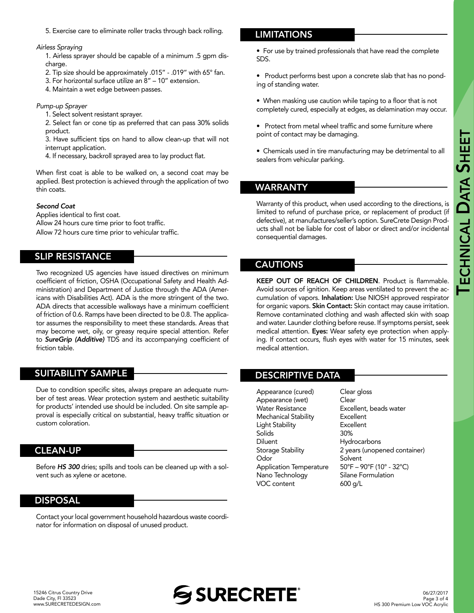5. Exercise care to eliminate roller tracks through back rolling.

#### *Airless Spraying*

1. Airless sprayer should be capable of a minimum .5 gpm discharge.

- 2. Tip size should be approximately .015" .019" with 65° fan.
- 3. For horizontal surface utilize an 8" 10" extension.
- 4. Maintain a wet edge between passes.

#### *Pump-up Sprayer*

1. Select solvent resistant sprayer.

2. Select fan or cone tip as preferred that can pass 30% solids product.

3. Have sufficient tips on hand to allow clean-up that will not interrupt application.

4. If necessary, backroll sprayed area to lay product flat.

When first coat is able to be walked on, a second coat may be applied. Best protection is achieved through the application of two thin coats.

#### *Second Coat*

Applies identical to first coat. Allow 24 hours cure time prior to foot traffic. Allow 72 hours cure time prior to vehicular traffic.

# SLIP RESISTANCE

Two recognized US agencies have issued directives on minimum coefficient of friction, OSHA (Occupational Safety and Health Administration) and Department of Justice through the ADA (Americans with Disabilities Act). ADA is the more stringent of the two. ADA directs that accessible walkways have a minimum coefficient of friction of 0.6. Ramps have been directed to be 0.8. The applicator assumes the responsibility to meet these standards. Areas that may become wet, oily, or greasy require special attention. Refer to *SureGrip (Additive)* TDS and its accompanying coefficient of friction table.

# SUITABILITY SAMPLE

Due to condition specific sites, always prepare an adequate number of test areas. Wear protection system and aesthetic suitability for products' intended use should be included. On site sample approval is especially critical on substantial, heavy traffic situation or custom coloration.

# CLEAN-UP

Before *HS 300* dries; spills and tools can be cleaned up with a solvent such as xylene or acetone.

#### DISPOSAL

Contact your local government household hazardous waste coordinator for information on disposal of unused product.

# **LIMITATIONS**

• For use by trained professionals that have read the complete SDS.

• Product performs best upon a concrete slab that has no ponding of standing water.

• When masking use caution while taping to a floor that is not completely cured, especially at edges, as delamination may occur.

• Protect from metal wheel traffic and some furniture where point of contact may be damaging.

• Chemicals used in tire manufacturing may be detrimental to all sealers from vehicular parking.

# WARRANTY

Warranty of this product, when used according to the directions, is limited to refund of purchase price, or replacement of product (if defective), at manufactures/seller's option. SureCrete Design Products shall not be liable for cost of labor or direct and/or incidental consequential damages.

#### CAUTIONS

KEEP OUT OF REACH OF CHILDREN. Product is flammable. Avoid sources of ignition. Keep areas ventilated to prevent the accumulation of vapors. Inhalation: Use NIOSH approved respirator for organic vapors. Skin Contact: Skin contact may cause irritation. Remove contaminated clothing and wash affected skin with soap and water. Launder clothing before reuse. If symptoms persist, seek medical attention. Eyes: Wear safety eye protection when applying. If contact occurs, flush eyes with water for 15 minutes, seek medical attention.

#### DESCRIPTIVE DATA

| Appearance (cured)             | Clear gloss                                                        |
|--------------------------------|--------------------------------------------------------------------|
| Appearance (wet)               | Clear                                                              |
| <b>Water Resistance</b>        | Excellent, beads water                                             |
| Mechanical Stability           | Excellent                                                          |
| Light Stability                | Excellent                                                          |
| Solids                         | 30%                                                                |
| Diluent                        | Hydrocarbons                                                       |
| Storage Stability              | 2 years (unopened container)                                       |
| Odor                           | Solvent                                                            |
| <b>Application Temperature</b> | $50^{\circ}$ F – 90 $^{\circ}$ F (10 $^{\circ}$ - 32 $^{\circ}$ C) |
| Nano Technology                | Silane Formulation                                                 |
| VOC content                    | 600 a/L                                                            |
|                                |                                                                    |